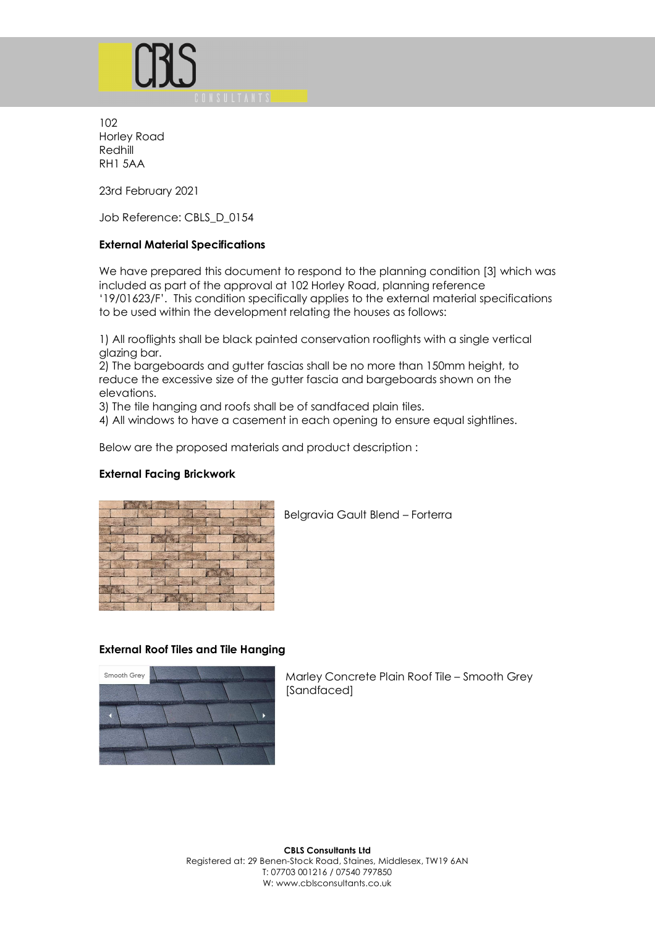

102 Horley Road Redhill RH1 5AA

23rd February 2021

Job Reference: CBLS\_D\_0154

### **External Material Specifications**

We have prepared this document to respond to the planning condition [3] which was included as part of the approval at 102 Horley Road, planning reference '19/01623/F'. This condition specifically applies to the external material specifications to be used within the development relating the houses as follows:

1) All rooflights shall be black painted conservation rooflights with a single vertical glazing bar.

2) The bargeboards and gutter fascias shall be no more than 150mm height, to reduce the excessive size of the gutter fascia and bargeboards shown on the elevations.

3) The tile hanging and roofs shall be of sandfaced plain tiles.

4) All windows to have a casement in each opening to ensure equal sightlines.

Below are the proposed materials and product description :

### **External Facing Brickwork**



Belgravia Gault Blend – Forterra

### **External Roof Tiles and Tile Hanging**



Marley Concrete Plain Roof Tile – Smooth Grey [Sandfaced]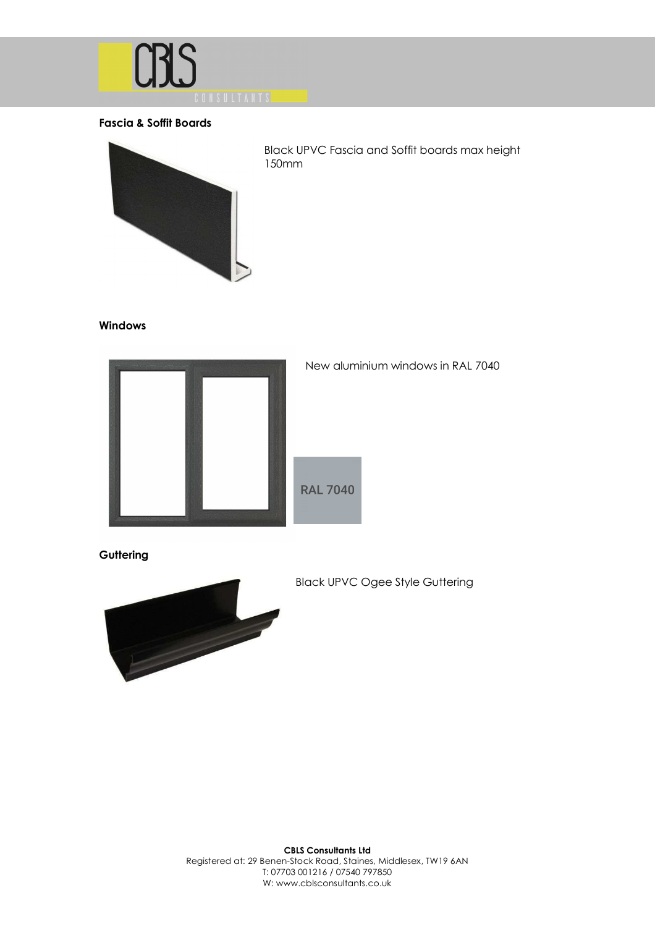

# **Fascia & Soffit Boards**



Black UPVC Fascia and Soffit boards max height 150mm

#### **Windows**



### New aluminium windows in RAL 7040

**Guttering** 



Black UPVC Ogee Style Guttering

**CBLS Consultants Ltd**  Registered at: 29 Benen-Stock Road, Staines, Middlesex, TW19 6AN T: 07703 001216 / 07540 797850 W: www.cblsconsultants.co.uk